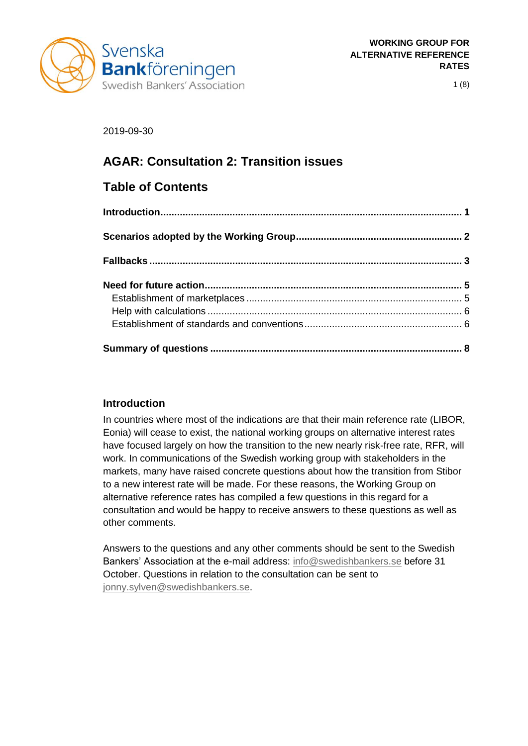

1 (8)

## 2019-09-30

# **AGAR: Consultation 2: Transition issues**

# **Table of Contents**

## <span id="page-0-0"></span>**Introduction**

In countries where most of the indications are that their main reference rate (LIBOR, Eonia) will cease to exist, the national working groups on alternative interest rates have focused largely on how the transition to the new nearly risk-free rate, RFR, will work. In communications of the Swedish working group with stakeholders in the markets, many have raised concrete questions about how the transition from Stibor to a new interest rate will be made. For these reasons, the Working Group on alternative reference rates has compiled a few questions in this regard for a consultation and would be happy to receive answers to these questions as well as other comments.

Answers to the questions and any other comments should be sent to the Swedish Bankers' Association at the e-mail address: [info@swedishbankers.se](mailto:info@swedishbankers.se) before 31 October. Questions in relation to the consultation can be sent to [jonny.sylven@swedishbankers.se.](mailto:jonny.sylven@swedishbankers.se)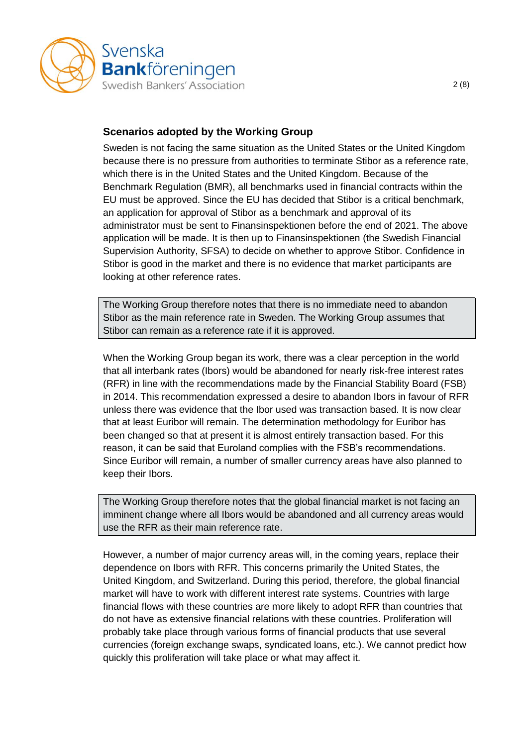

## <span id="page-1-0"></span>**Scenarios adopted by the Working Group**

Sweden is not facing the same situation as the United States or the United Kingdom because there is no pressure from authorities to terminate Stibor as a reference rate, which there is in the United States and the United Kingdom. Because of the Benchmark Regulation (BMR), all benchmarks used in financial contracts within the EU must be approved. Since the EU has decided that Stibor is a critical benchmark, an application for approval of Stibor as a benchmark and approval of its administrator must be sent to Finansinspektionen before the end of 2021. The above application will be made. It is then up to Finansinspektionen (the Swedish Financial Supervision Authority, SFSA) to decide on whether to approve Stibor. Confidence in Stibor is good in the market and there is no evidence that market participants are looking at other reference rates.

The Working Group therefore notes that there is no immediate need to abandon Stibor as the main reference rate in Sweden. The Working Group assumes that Stibor can remain as a reference rate if it is approved.

When the Working Group began its work, there was a clear perception in the world that all interbank rates (Ibors) would be abandoned for nearly risk-free interest rates (RFR) in line with the recommendations made by the Financial Stability Board (FSB) in 2014. This recommendation expressed a desire to abandon Ibors in favour of RFR unless there was evidence that the Ibor used was transaction based. It is now clear that at least Euribor will remain. The determination methodology for Euribor has been changed so that at present it is almost entirely transaction based. For this reason, it can be said that Euroland complies with the FSB's recommendations. Since Euribor will remain, a number of smaller currency areas have also planned to keep their Ibors.

The Working Group therefore notes that the global financial market is not facing an imminent change where all Ibors would be abandoned and all currency areas would use the RFR as their main reference rate.

However, a number of major currency areas will, in the coming years, replace their dependence on Ibors with RFR. This concerns primarily the United States, the United Kingdom, and Switzerland. During this period, therefore, the global financial market will have to work with different interest rate systems. Countries with large financial flows with these countries are more likely to adopt RFR than countries that do not have as extensive financial relations with these countries. Proliferation will probably take place through various forms of financial products that use several currencies (foreign exchange swaps, syndicated loans, etc.). We cannot predict how quickly this proliferation will take place or what may affect it.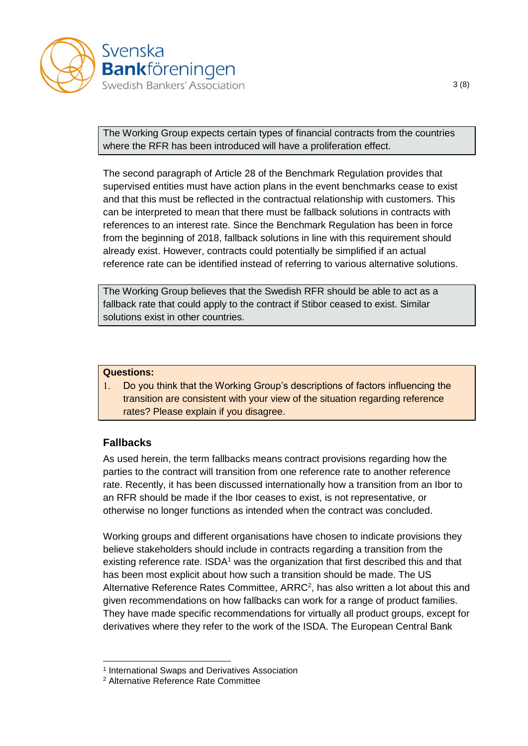

The Working Group expects certain types of financial contracts from the countries where the RFR has been introduced will have a proliferation effect.

The second paragraph of Article 28 of the Benchmark Regulation provides that supervised entities must have action plans in the event benchmarks cease to exist and that this must be reflected in the contractual relationship with customers. This can be interpreted to mean that there must be fallback solutions in contracts with references to an interest rate. Since the Benchmark Regulation has been in force from the beginning of 2018, fallback solutions in line with this requirement should already exist. However, contracts could potentially be simplified if an actual reference rate can be identified instead of referring to various alternative solutions.

The Working Group believes that the Swedish RFR should be able to act as a fallback rate that could apply to the contract if Stibor ceased to exist. Similar solutions exist in other countries.

#### **Questions:**

 Do you think that the Working Group's descriptions of factors influencing the transition are consistent with your view of the situation regarding reference rates? Please explain if you disagree.

### <span id="page-2-0"></span>**Fallbacks**

-

As used herein, the term fallbacks means contract provisions regarding how the parties to the contract will transition from one reference rate to another reference rate. Recently, it has been discussed internationally how a transition from an Ibor to an RFR should be made if the Ibor ceases to exist, is not representative, or otherwise no longer functions as intended when the contract was concluded.

Working groups and different organisations have chosen to indicate provisions they believe stakeholders should include in contracts regarding a transition from the existing reference rate.  $ISDA<sup>1</sup>$  was the organization that first described this and that has been most explicit about how such a transition should be made. The US Alternative Reference Rates Committee, ARRC<sup>2</sup>, has also written a lot about this and given recommendations on how fallbacks can work for a range of product families. They have made specific recommendations for virtually all product groups, except for derivatives where they refer to the work of the ISDA. The European Central Bank

<sup>1</sup> International Swaps and Derivatives Association

<sup>2</sup> Alternative Reference Rate Committee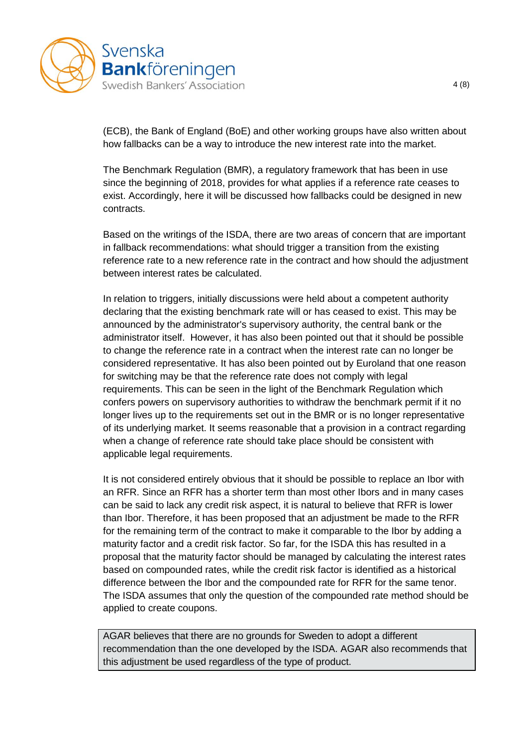

(ECB), the Bank of England (BoE) and other working groups have also written about how fallbacks can be a way to introduce the new interest rate into the market.

The Benchmark Regulation (BMR), a regulatory framework that has been in use since the beginning of 2018, provides for what applies if a reference rate ceases to exist. Accordingly, here it will be discussed how fallbacks could be designed in new contracts.

Based on the writings of the ISDA, there are two areas of concern that are important in fallback recommendations: what should trigger a transition from the existing reference rate to a new reference rate in the contract and how should the adjustment between interest rates be calculated.

In relation to triggers, initially discussions were held about a competent authority declaring that the existing benchmark rate will or has ceased to exist. This may be announced by the administrator's supervisory authority, the central bank or the administrator itself. However, it has also been pointed out that it should be possible to change the reference rate in a contract when the interest rate can no longer be considered representative. It has also been pointed out by Euroland that one reason for switching may be that the reference rate does not comply with legal requirements. This can be seen in the light of the Benchmark Regulation which confers powers on supervisory authorities to withdraw the benchmark permit if it no longer lives up to the requirements set out in the BMR or is no longer representative of its underlying market. It seems reasonable that a provision in a contract regarding when a change of reference rate should take place should be consistent with applicable legal requirements.

It is not considered entirely obvious that it should be possible to replace an Ibor with an RFR. Since an RFR has a shorter term than most other Ibors and in many cases can be said to lack any credit risk aspect, it is natural to believe that RFR is lower than Ibor. Therefore, it has been proposed that an adjustment be made to the RFR for the remaining term of the contract to make it comparable to the Ibor by adding a maturity factor and a credit risk factor. So far, for the ISDA this has resulted in a proposal that the maturity factor should be managed by calculating the interest rates based on compounded rates, while the credit risk factor is identified as a historical difference between the Ibor and the compounded rate for RFR for the same tenor. The ISDA assumes that only the question of the compounded rate method should be applied to create coupons.

AGAR believes that there are no grounds for Sweden to adopt a different recommendation than the one developed by the ISDA. AGAR also recommends that this adjustment be used regardless of the type of product.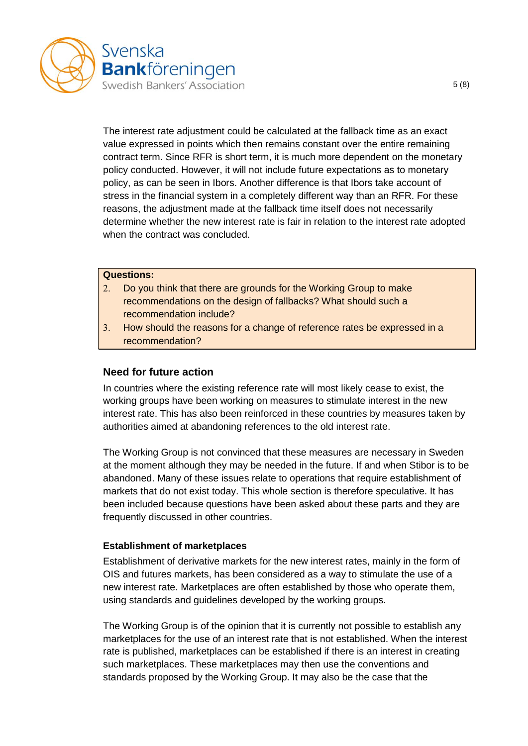

The interest rate adjustment could be calculated at the fallback time as an exact value expressed in points which then remains constant over the entire remaining contract term. Since RFR is short term, it is much more dependent on the monetary policy conducted. However, it will not include future expectations as to monetary policy, as can be seen in Ibors. Another difference is that Ibors take account of stress in the financial system in a completely different way than an RFR. For these reasons, the adjustment made at the fallback time itself does not necessarily determine whether the new interest rate is fair in relation to the interest rate adopted when the contract was concluded.

#### **Questions:**

- Do you think that there are grounds for the Working Group to make recommendations on the design of fallbacks? What should such a recommendation include?
- How should the reasons for a change of reference rates be expressed in a recommendation?

#### <span id="page-4-0"></span>**Need for future action**

In countries where the existing reference rate will most likely cease to exist, the working groups have been working on measures to stimulate interest in the new interest rate. This has also been reinforced in these countries by measures taken by authorities aimed at abandoning references to the old interest rate.

The Working Group is not convinced that these measures are necessary in Sweden at the moment although they may be needed in the future. If and when Stibor is to be abandoned. Many of these issues relate to operations that require establishment of markets that do not exist today. This whole section is therefore speculative. It has been included because questions have been asked about these parts and they are frequently discussed in other countries.

#### <span id="page-4-1"></span>**Establishment of marketplaces**

Establishment of derivative markets for the new interest rates, mainly in the form of OIS and futures markets, has been considered as a way to stimulate the use of a new interest rate. Marketplaces are often established by those who operate them, using standards and guidelines developed by the working groups.

The Working Group is of the opinion that it is currently not possible to establish any marketplaces for the use of an interest rate that is not established. When the interest rate is published, marketplaces can be established if there is an interest in creating such marketplaces. These marketplaces may then use the conventions and standards proposed by the Working Group. It may also be the case that the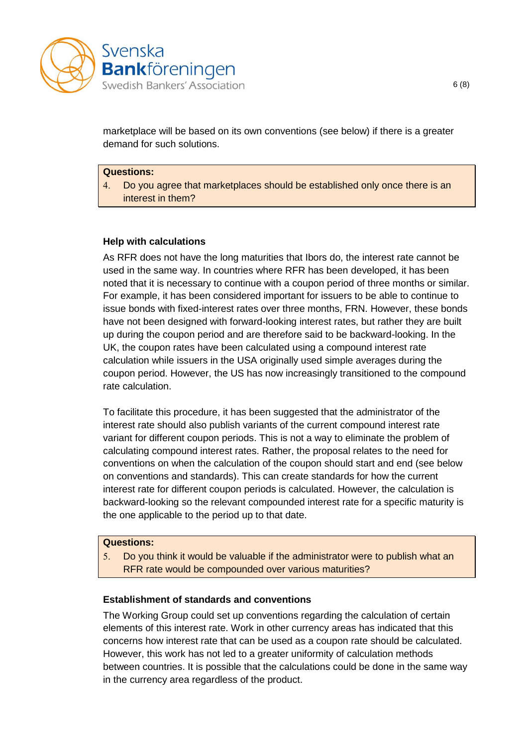

marketplace will be based on its own conventions (see below) if there is a greater demand for such solutions.

#### **Questions:**

 Do you agree that marketplaces should be established only once there is an interest in them?

### <span id="page-5-0"></span>**Help with calculations**

As RFR does not have the long maturities that Ibors do, the interest rate cannot be used in the same way. In countries where RFR has been developed, it has been noted that it is necessary to continue with a coupon period of three months or similar. For example, it has been considered important for issuers to be able to continue to issue bonds with fixed-interest rates over three months, FRN. However, these bonds have not been designed with forward-looking interest rates, but rather they are built up during the coupon period and are therefore said to be backward-looking. In the UK, the coupon rates have been calculated using a compound interest rate calculation while issuers in the USA originally used simple averages during the coupon period. However, the US has now increasingly transitioned to the compound rate calculation.

To facilitate this procedure, it has been suggested that the administrator of the interest rate should also publish variants of the current compound interest rate variant for different coupon periods. This is not a way to eliminate the problem of calculating compound interest rates. Rather, the proposal relates to the need for conventions on when the calculation of the coupon should start and end (see below on conventions and standards). This can create standards for how the current interest rate for different coupon periods is calculated. However, the calculation is backward-looking so the relevant compounded interest rate for a specific maturity is the one applicable to the period up to that date.

#### **Questions:**

 Do you think it would be valuable if the administrator were to publish what an RFR rate would be compounded over various maturities?

### <span id="page-5-1"></span>**Establishment of standards and conventions**

The Working Group could set up conventions regarding the calculation of certain elements of this interest rate. Work in other currency areas has indicated that this concerns how interest rate that can be used as a coupon rate should be calculated. However, this work has not led to a greater uniformity of calculation methods between countries. It is possible that the calculations could be done in the same way in the currency area regardless of the product.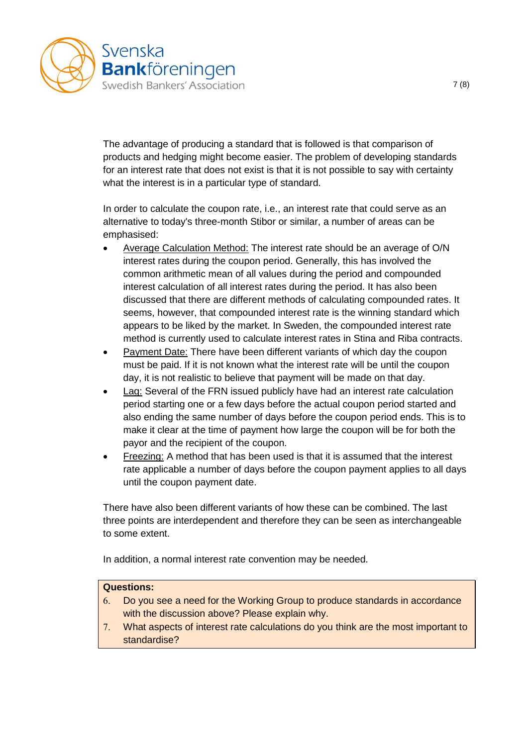

The advantage of producing a standard that is followed is that comparison of products and hedging might become easier. The problem of developing standards for an interest rate that does not exist is that it is not possible to say with certainty what the interest is in a particular type of standard.

In order to calculate the coupon rate, i.e., an interest rate that could serve as an alternative to today's three-month Stibor or similar, a number of areas can be emphasised:

- Average Calculation Method: The interest rate should be an average of O/N interest rates during the coupon period. Generally, this has involved the common arithmetic mean of all values during the period and compounded interest calculation of all interest rates during the period. It has also been discussed that there are different methods of calculating compounded rates. It seems, however, that compounded interest rate is the winning standard which appears to be liked by the market. In Sweden, the compounded interest rate method is currently used to calculate interest rates in Stina and Riba contracts.
- Payment Date: There have been different variants of which day the coupon must be paid. If it is not known what the interest rate will be until the coupon day, it is not realistic to believe that payment will be made on that day.
- Lag: Several of the FRN issued publicly have had an interest rate calculation period starting one or a few days before the actual coupon period started and also ending the same number of days before the coupon period ends. This is to make it clear at the time of payment how large the coupon will be for both the payor and the recipient of the coupon.
- Freezing: A method that has been used is that it is assumed that the interest rate applicable a number of days before the coupon payment applies to all days until the coupon payment date.

There have also been different variants of how these can be combined. The last three points are interdependent and therefore they can be seen as interchangeable to some extent.

In addition, a normal interest rate convention may be needed.

### **Questions:**

- Do you see a need for the Working Group to produce standards in accordance with the discussion above? Please explain why.
- What aspects of interest rate calculations do you think are the most important to standardise?